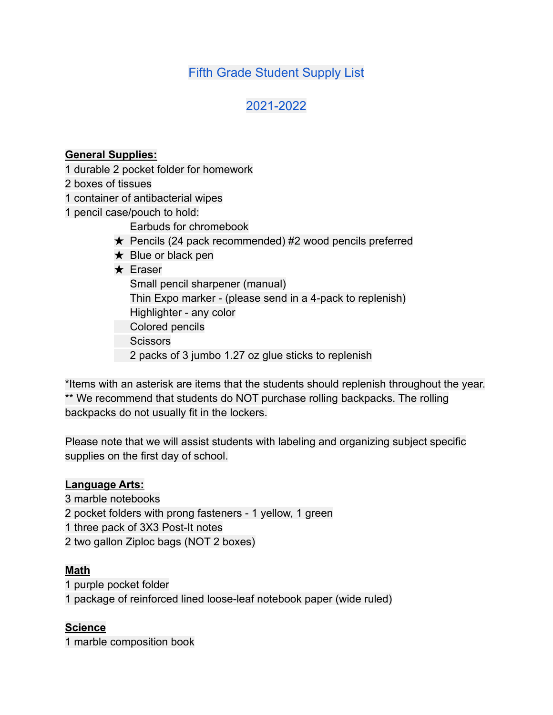# Fifth Grade Student Supply List

# 2021-2022

#### **General Supplies:**

- 1 durable 2 pocket folder for homework
- 2 boxes of tissues
- 1 container of antibacterial wipes
- 1 pencil case/pouch to hold:
	- Earbuds for chromebook
	- $\star$  Pencils (24 pack recommended) #2 wood pencils preferred
	- $\star$  Blue or black pen

### ★ Eraser

- Small pencil sharpener (manual) Thin Expo marker - (please send in a 4-pack to replenish) Highlighter - any color Colored pencils
	- **Scissors**
	- 2 packs of 3 jumbo 1.27 oz glue sticks to replenish

\*Items with an asterisk are items that the students should replenish throughout the year. \*\* We recommend that students do NOT purchase rolling backpacks. The rolling backpacks do not usually fit in the lockers.

Please note that we will assist students with labeling and organizing subject specific supplies on the first day of school.

#### **Language Arts:**

- 3 marble notebooks
- 2 pocket folders with prong fasteners 1 yellow, 1 green
- 1 three pack of 3X3 Post-It notes
- 2 two gallon Ziploc bags (NOT 2 boxes)

#### **Math**

- 1 purple pocket folder
- 1 package of reinforced lined loose-leaf notebook paper (wide ruled)

#### **Science**

1 marble composition book